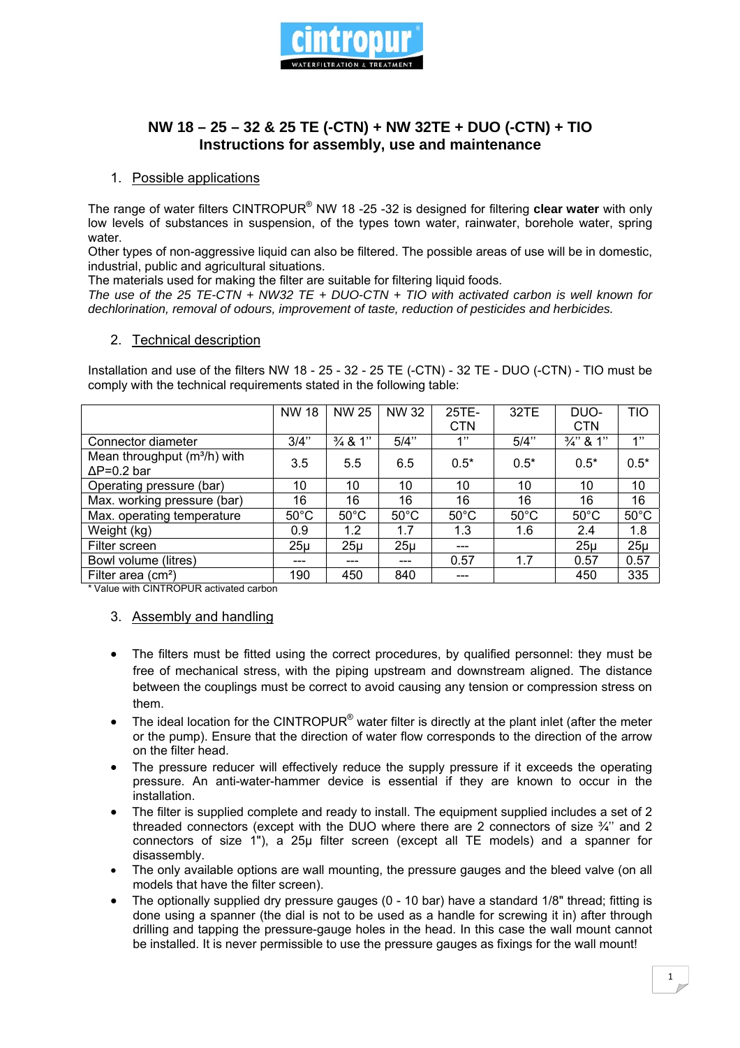

# **NW 18 – 25 – 32 & 25 TE (-CTN) + NW 32TE + DUO (-CTN) + TIO Instructions for assembly, use and maintenance**

#### 1. Possible applications

The range of water filters CINTROPUR® NW 18 -25 -32 is designed for filtering **clear water** with only low levels of substances in suspension, of the types town water, rainwater, borehole water, spring water.

Other types of non-aggressive liquid can also be filtered. The possible areas of use will be in domestic, industrial, public and agricultural situations.

The materials used for making the filter are suitable for filtering liquid foods.

*The use of the 25 TE-CTN + NW32 TE + DUO-CTN + TIO with activated carbon is well known for dechlorination, removal of odours, improvement of taste, reduction of pesticides and herbicides.* 

#### 2. Technical description

Installation and use of the filters NW 18 - 25 - 32 - 25 TE (-CTN) - 32 TE - DUO (-CTN) - TIO must be comply with the technical requirements stated in the following table:

|                                                        | <b>NW 18</b>    | <b>NW 25</b>       | NW 32          | 25TE-          | 32TE           | DUO-                 | TIO            |
|--------------------------------------------------------|-----------------|--------------------|----------------|----------------|----------------|----------------------|----------------|
|                                                        |                 |                    |                | <b>CTN</b>     |                | <b>CTN</b>           |                |
| Connector diameter                                     | 3/4"            | $\frac{3}{4}$ & 1" | 5/4"           | 1"             | 5/4"           | $\frac{3}{4}$ " & 1" | 1"             |
| Mean throughput $(m^3/h)$ with<br>$\Delta P = 0.2$ bar | 3.5             | 5.5                | 6.5            | $0.5*$         | $0.5*$         | $0.5*$               | $0.5*$         |
| Operating pressure (bar)                               | 10              | 10                 | 10             | 10             | 10             | 10                   | 10             |
| Max. working pressure (bar)                            | 16              | 16                 | 16             | 16             | 16             | 16                   | 16             |
| Max. operating temperature                             | $50^{\circ}$ C  | $50^{\circ}$ C     | $50^{\circ}$ C | $50^{\circ}$ C | $50^{\circ}$ C | $50^{\circ}$ C       | $50^{\circ}$ C |
| $\overline{W}$ eight (kg)                              | 0.9             | 1.2                | 1.7            | 1.3            | 1.6            | 2.4                  | 1.8            |
| Filter screen                                          | 25 <sub>µ</sub> | $25\mu$            | $25\mu$        | ---            |                | $25\mu$              | $25\mu$        |
| Bowl volume (litres)                                   | ---             |                    | ---            | 0.57           | 1.7            | 0.57                 | 0.57           |
| Filter area $(cm2)$                                    | 190             | 450                | 840            |                |                | 450                  | 335            |

\* Value with CINTROPUR activated carbon

#### 3. Assembly and handling

- The filters must be fitted using the correct procedures, by qualified personnel: they must be free of mechanical stress, with the piping upstream and downstream aligned. The distance between the couplings must be correct to avoid causing any tension or compression stress on them.
- The ideal location for the CINTROPUR<sup>®</sup> water filter is directly at the plant inlet (after the meter or the pump). Ensure that the direction of water flow corresponds to the direction of the arrow on the filter head.
- The pressure reducer will effectively reduce the supply pressure if it exceeds the operating pressure. An anti-water-hammer device is essential if they are known to occur in the installation.
- The filter is supplied complete and ready to install. The equipment supplied includes a set of 2 threaded connectors (except with the DUO where there are 2 connectors of size  $\frac{3}{4}$ " and 2 connectors of size 1"), a 25µ filter screen (except all TE models) and a spanner for disassembly.
- The only available options are wall mounting, the pressure gauges and the bleed valve (on all models that have the filter screen).
- The optionally supplied dry pressure gauges  $(0 10$  bar) have a standard  $1/8$ " thread; fitting is done using a spanner (the dial is not to be used as a handle for screwing it in) after through drilling and tapping the pressure-gauge holes in the head. In this case the wall mount cannot be installed. It is never permissible to use the pressure gauges as fixings for the wall mount!